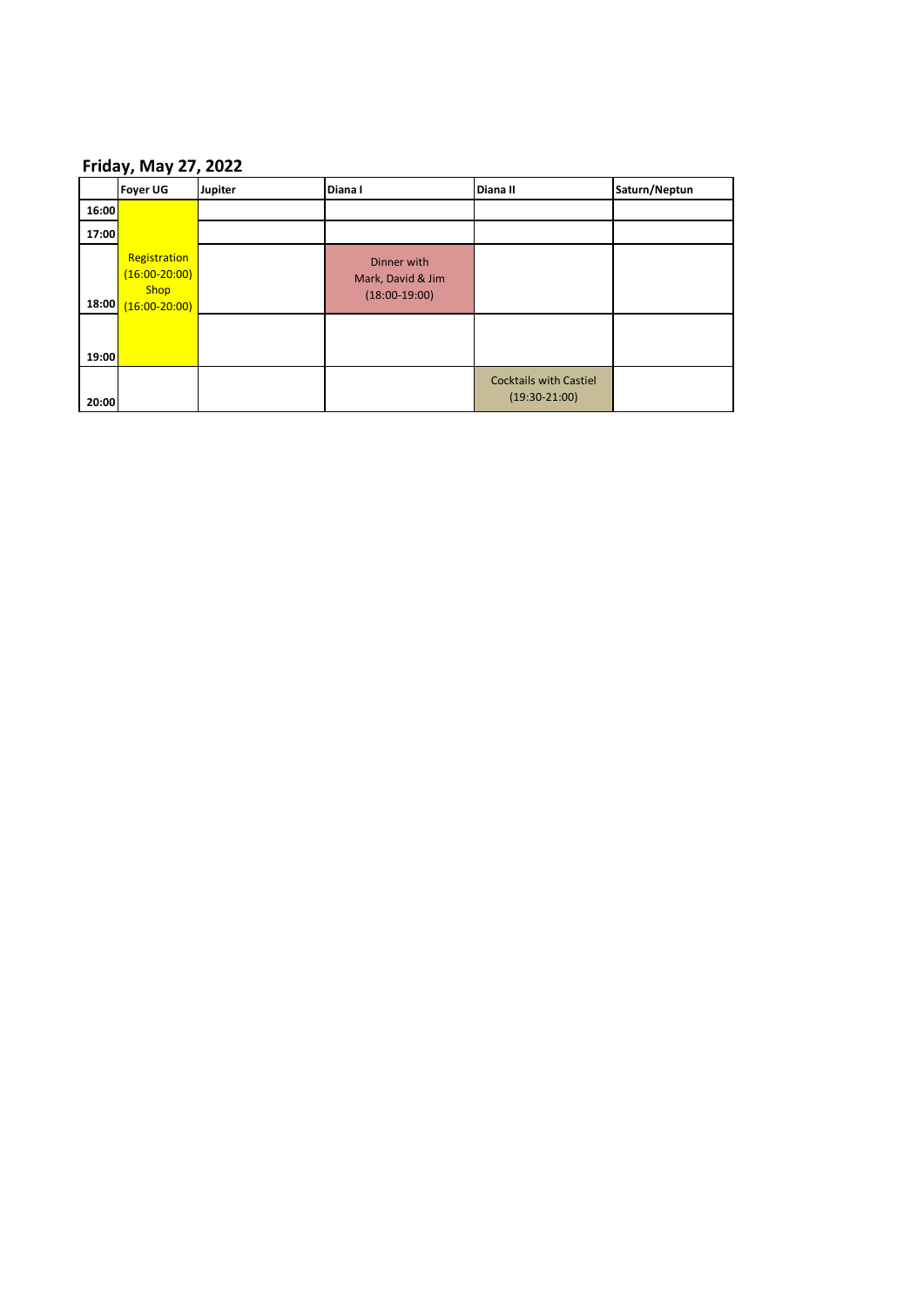## **Friday, May 27, 2022**

|       | <b>FIIUAY, IVIAY <i>LI</i>, LULL</b>                                |         |                                                     |                                                  |               |  |  |
|-------|---------------------------------------------------------------------|---------|-----------------------------------------------------|--------------------------------------------------|---------------|--|--|
|       | <b>Foyer UG</b>                                                     | Jupiter | Diana I                                             | Diana II                                         | Saturn/Neptun |  |  |
| 16:00 |                                                                     |         |                                                     |                                                  |               |  |  |
| 17:00 |                                                                     |         |                                                     |                                                  |               |  |  |
| 18:00 | Registration<br>$(16:00 - 20:00)$<br><b>Shop</b><br>$(16:00-20:00)$ |         | Dinner with<br>Mark, David & Jim<br>$(18:00-19:00)$ |                                                  |               |  |  |
| 19:00 |                                                                     |         |                                                     |                                                  |               |  |  |
| 20:00 |                                                                     |         |                                                     | <b>Cocktails with Castiel</b><br>$(19:30-21:00)$ |               |  |  |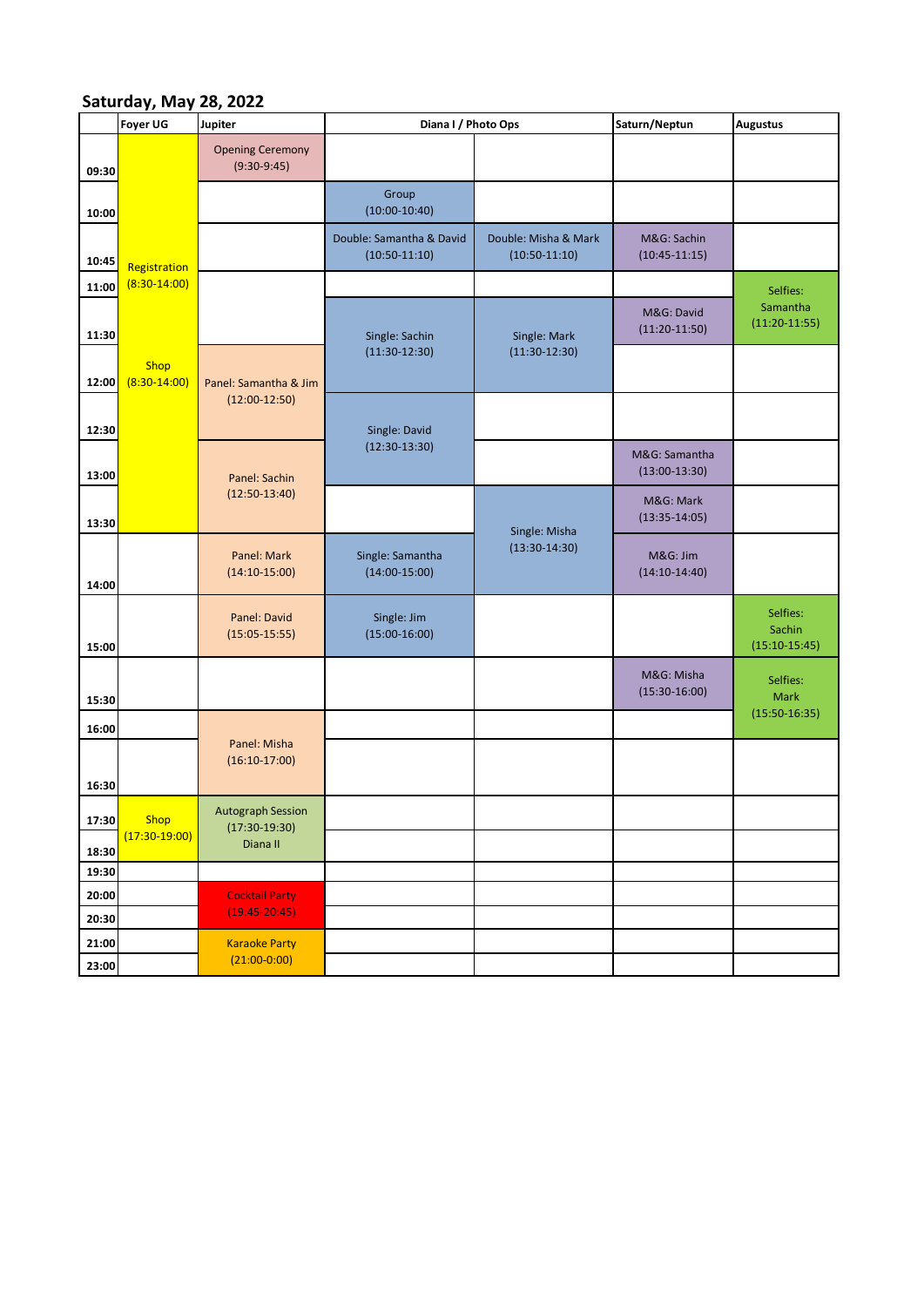## **Saturday, May 28, 2022**

|                | Jaluruay, iviay 20, 2022<br>Foyer UG                            | Jupiter                                                 | Diana I / Photo Ops                         |                                         | Saturn/Neptun                    | <b>Augustus</b>                       |
|----------------|-----------------------------------------------------------------|---------------------------------------------------------|---------------------------------------------|-----------------------------------------|----------------------------------|---------------------------------------|
| 09:30          |                                                                 | <b>Opening Ceremony</b><br>$(9:30-9:45)$                |                                             |                                         |                                  |                                       |
| 10:00          |                                                                 |                                                         | Group<br>$(10:00-10:40)$                    |                                         |                                  |                                       |
| 10:45          | Registration<br>$(8:30-14:00)$<br><b>Shop</b><br>$(8:30-14:00)$ |                                                         | Double: Samantha & David<br>$(10:50-11:10)$ | Double: Misha & Mark<br>$(10:50-11:10)$ | M&G: Sachin<br>$(10:45-11:15)$   |                                       |
| 11:00          |                                                                 |                                                         |                                             |                                         |                                  | Selfies:                              |
| 11:30          |                                                                 |                                                         | Single: Sachin<br>$(11:30-12:30)$           | Single: Mark<br>$(11:30-12:30)$         | M&G: David<br>$(11:20-11:50)$    | Samantha<br>$(11:20-11:55)$           |
| 12:00          |                                                                 | Panel: Samantha & Jim<br>$(12:00-12:50)$                |                                             |                                         |                                  |                                       |
| 12:30          |                                                                 |                                                         | Single: David                               |                                         |                                  |                                       |
| 13:00          |                                                                 | Panel: Sachin                                           | $(12:30-13:30)$                             |                                         | M&G: Samantha<br>$(13:00-13:30)$ |                                       |
| 13:30          |                                                                 | $(12:50-13:40)$                                         |                                             | Single: Misha<br>$(13:30-14:30)$        | M&G: Mark<br>$(13:35-14:05)$     |                                       |
| 14:00          |                                                                 | Panel: Mark<br>$(14:10-15:00)$                          | Single: Samantha<br>$(14:00-15:00)$         |                                         | M&G: Jim<br>$(14:10-14:40)$      |                                       |
| 15:00          |                                                                 | Panel: David<br>$(15:05-15:55)$                         | Single: Jim<br>$(15:00-16:00)$              |                                         |                                  | Selfies:<br>Sachin<br>$(15:10-15:45)$ |
| 15:30          |                                                                 |                                                         |                                             |                                         | M&G: Misha<br>$(15:30-16:00)$    | Selfies:<br><b>Mark</b>               |
| 16:00          |                                                                 |                                                         |                                             |                                         |                                  | $(15:50-16:35)$                       |
|                |                                                                 | Panel: Misha<br>$(16:10-17:00)$                         |                                             |                                         |                                  |                                       |
| 16:30          |                                                                 |                                                         |                                             |                                         |                                  |                                       |
| 17:30<br>18:30 | Shop<br>$(17:30-19:00)$                                         | <b>Autograph Session</b><br>$(17:30-19:30)$<br>Diana II |                                             |                                         |                                  |                                       |
| 19:30          |                                                                 |                                                         |                                             |                                         |                                  |                                       |
| 20:00<br>20:30 |                                                                 | <b>Cocktail Party</b><br>$(19:45-20:45)$                |                                             |                                         |                                  |                                       |
| 21:00<br>23:00 |                                                                 | <b>Karaoke Party</b><br>$(21:00-0:00)$                  |                                             |                                         |                                  |                                       |